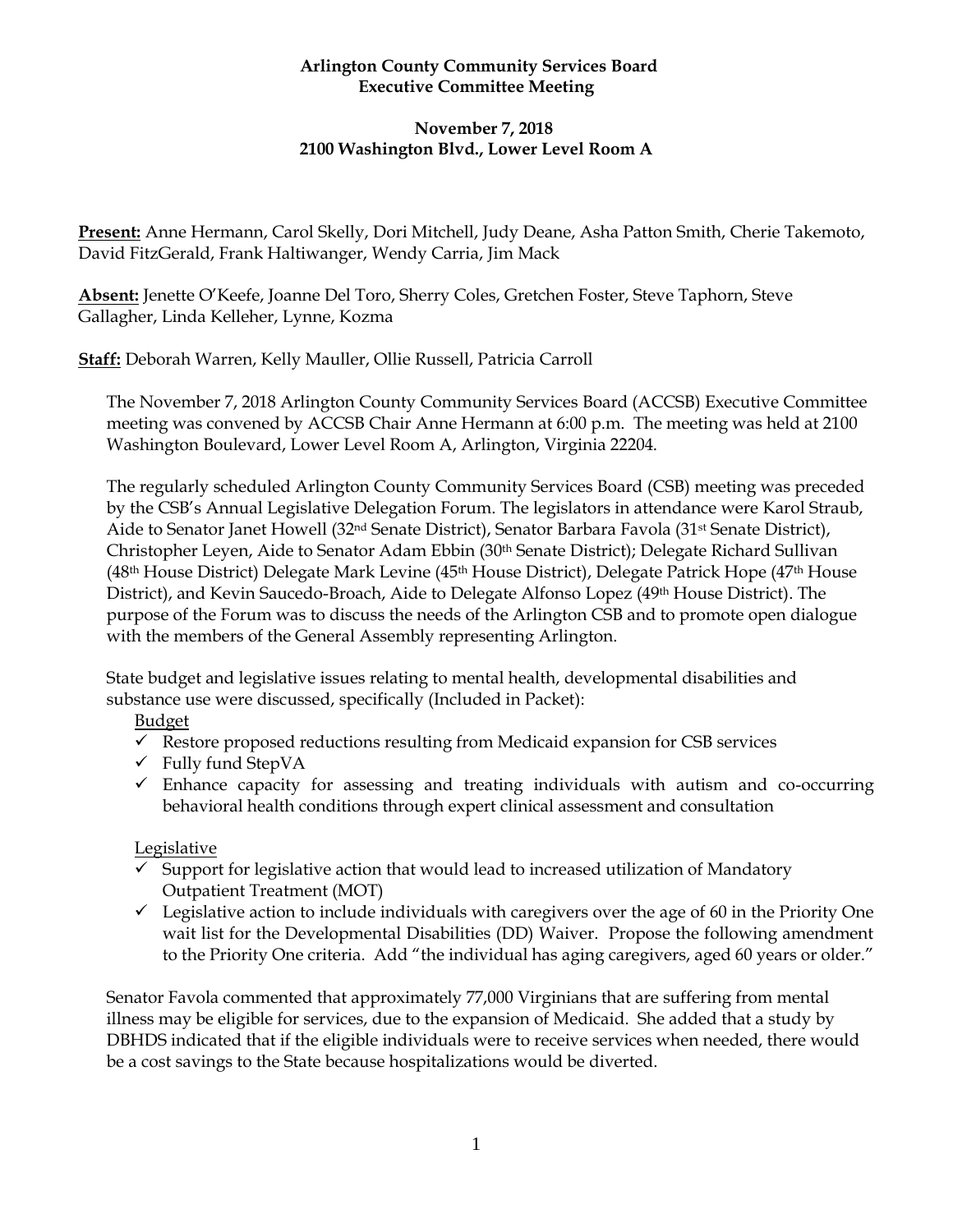### **Arlington County Community Services Board Executive Committee Meeting**

# **November 7, 2018 2100 Washington Blvd., Lower Level Room A**

**Present:** Anne Hermann, Carol Skelly, Dori Mitchell, Judy Deane, Asha Patton Smith, Cherie Takemoto, David FitzGerald, Frank Haltiwanger, Wendy Carria, Jim Mack

**Absent:** Jenette O'Keefe, Joanne Del Toro, Sherry Coles, Gretchen Foster, Steve Taphorn, Steve Gallagher, Linda Kelleher, Lynne, Kozma

**Staff:** Deborah Warren, Kelly Mauller, Ollie Russell, Patricia Carroll

The November 7, 2018 Arlington County Community Services Board (ACCSB) Executive Committee meeting was convened by ACCSB Chair Anne Hermann at 6:00 p.m. The meeting was held at 2100 Washington Boulevard, Lower Level Room A, Arlington, Virginia 22204.

The regularly scheduled Arlington County Community Services Board (CSB) meeting was preceded by the CSB's Annual Legislative Delegation Forum. The legislators in attendance were Karol Straub, Aide to Senator Janet Howell (32nd Senate District), Senator Barbara Favola (31st Senate District), Christopher Leyen, Aide to Senator Adam Ebbin (30th Senate District); Delegate Richard Sullivan (48th House District) Delegate Mark Levine (45th House District), Delegate Patrick Hope (47th House District), and Kevin Saucedo-Broach, Aide to Delegate Alfonso Lopez (49th House District). The purpose of the Forum was to discuss the needs of the Arlington CSB and to promote open dialogue with the members of the General Assembly representing Arlington.

State budget and legislative issues relating to mental health, developmental disabilities and substance use were discussed, specifically (Included in Packet):

# Budget

- $\checkmark$  Restore proposed reductions resulting from Medicaid expansion for CSB services
- $\checkmark$  Fully fund StepVA
- $\checkmark$  Enhance capacity for assessing and treating individuals with autism and co-occurring behavioral health conditions through expert clinical assessment and consultation

# Legislative

- $\checkmark$  Support for legislative action that would lead to increased utilization of Mandatory Outpatient Treatment (MOT)
- $\checkmark$  Legislative action to include individuals with caregivers over the age of 60 in the Priority One wait list for the Developmental Disabilities (DD) Waiver. Propose the following amendment to the Priority One criteria. Add "the individual has aging caregivers, aged 60 years or older."

Senator Favola commented that approximately 77,000 Virginians that are suffering from mental illness may be eligible for services, due to the expansion of Medicaid. She added that a study by DBHDS indicated that if the eligible individuals were to receive services when needed, there would be a cost savings to the State because hospitalizations would be diverted.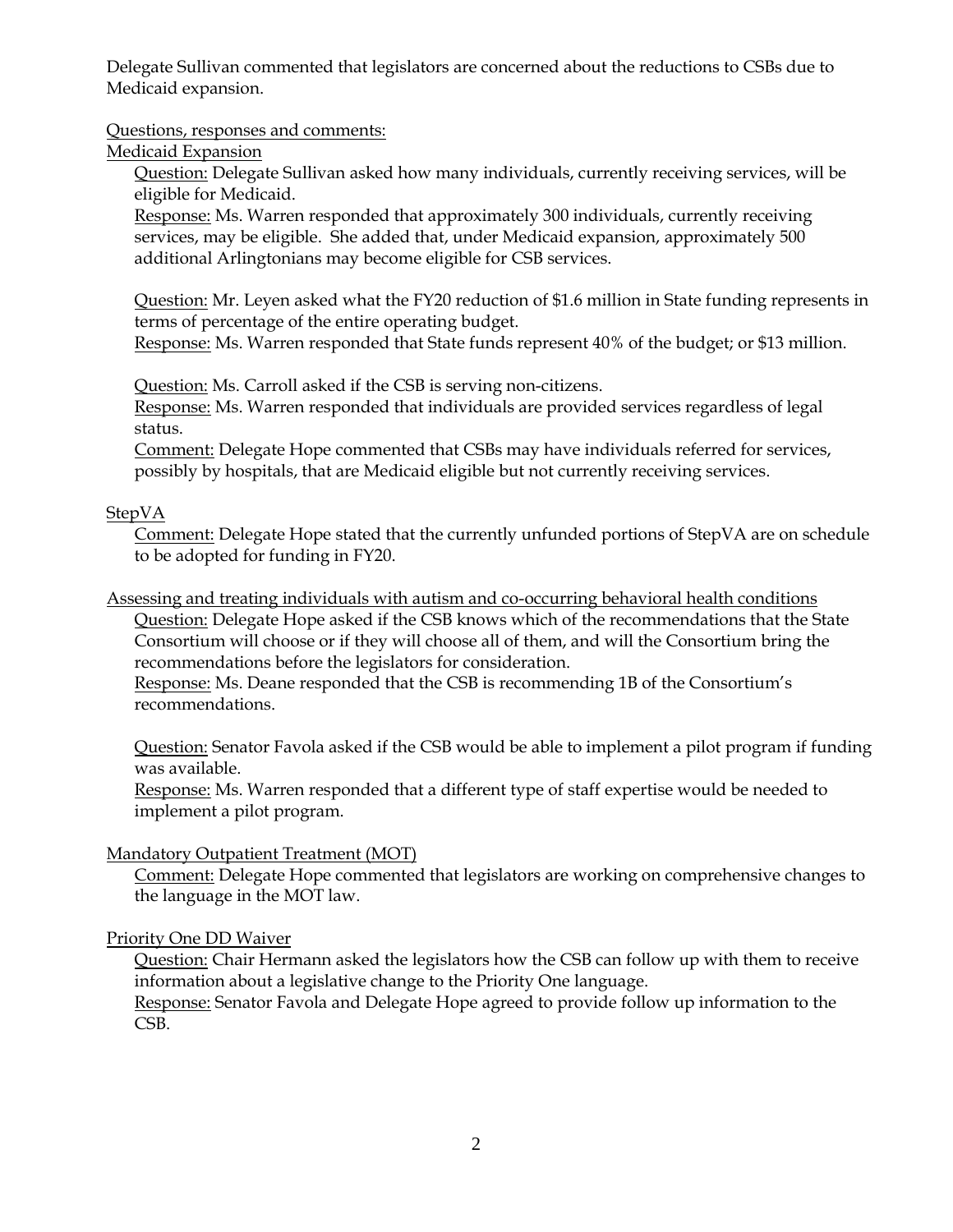Delegate Sullivan commented that legislators are concerned about the reductions to CSBs due to Medicaid expansion.

### Questions, responses and comments:

### Medicaid Expansion

Question: Delegate Sullivan asked how many individuals, currently receiving services, will be eligible for Medicaid.

Response: Ms. Warren responded that approximately 300 individuals, currently receiving services, may be eligible. She added that, under Medicaid expansion, approximately 500 additional Arlingtonians may become eligible for CSB services.

Question: Mr. Leyen asked what the FY20 reduction of \$1.6 million in State funding represents in terms of percentage of the entire operating budget.

Response: Ms. Warren responded that State funds represent 40% of the budget; or \$13 million.

Question: Ms. Carroll asked if the CSB is serving non-citizens.

Response: Ms. Warren responded that individuals are provided services regardless of legal status.

Comment: Delegate Hope commented that CSBs may have individuals referred for services, possibly by hospitals, that are Medicaid eligible but not currently receiving services.

# **StepVA**

Comment: Delegate Hope stated that the currently unfunded portions of StepVA are on schedule to be adopted for funding in FY20.

Assessing and treating individuals with autism and co-occurring behavioral health conditions

Question: Delegate Hope asked if the CSB knows which of the recommendations that the State Consortium will choose or if they will choose all of them, and will the Consortium bring the recommendations before the legislators for consideration.

Response: Ms. Deane responded that the CSB is recommending 1B of the Consortium's recommendations.

Question: Senator Favola asked if the CSB would be able to implement a pilot program if funding was available.

Response: Ms. Warren responded that a different type of staff expertise would be needed to implement a pilot program.

# Mandatory Outpatient Treatment (MOT)

Comment: Delegate Hope commented that legislators are working on comprehensive changes to the language in the MOT law.

### Priority One DD Waiver

Question: Chair Hermann asked the legislators how the CSB can follow up with them to receive information about a legislative change to the Priority One language.

Response: Senator Favola and Delegate Hope agreed to provide follow up information to the CSB.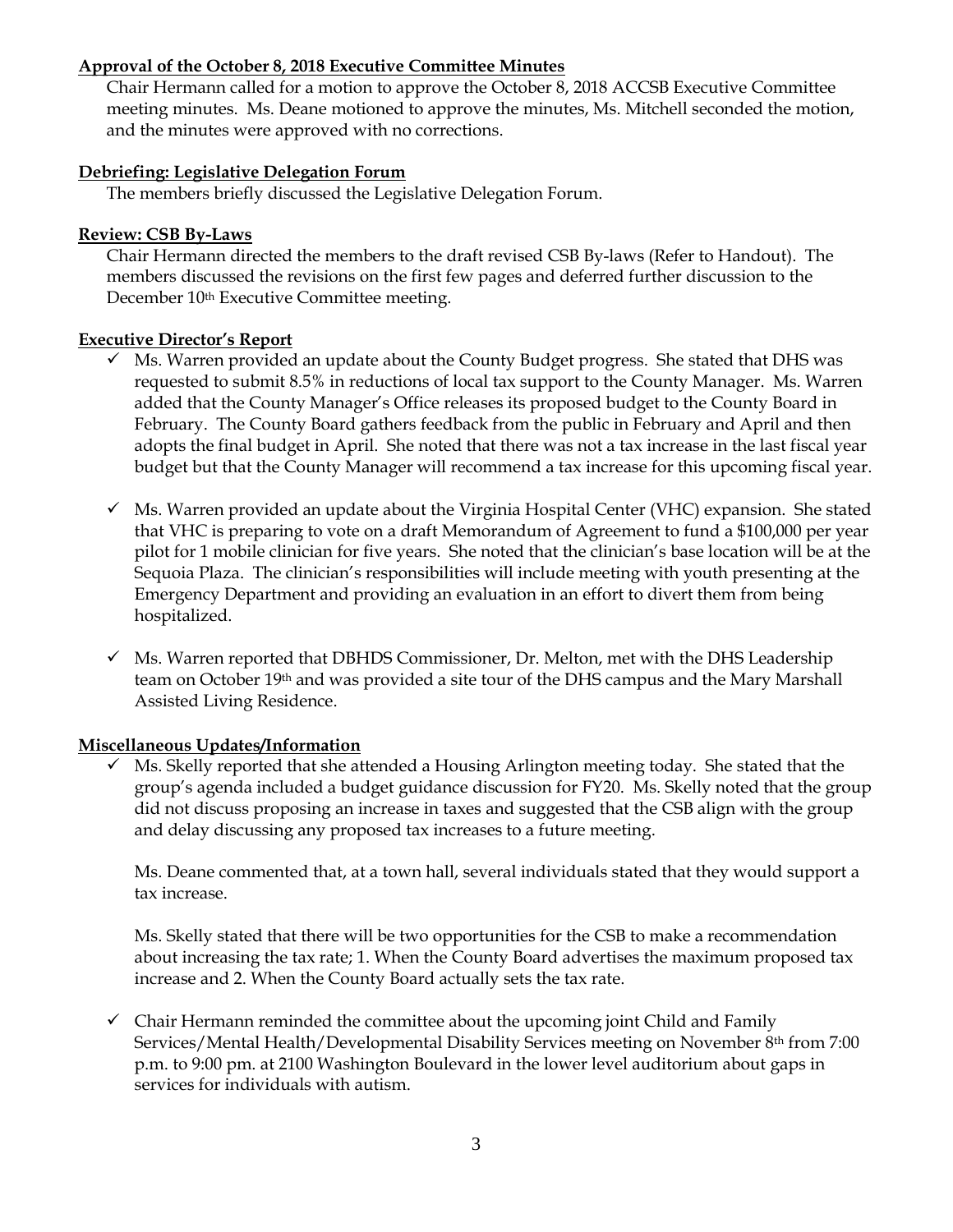#### **Approval of the October 8, 2018 Executive Committee Minutes**

Chair Hermann called for a motion to approve the October 8, 2018 ACCSB Executive Committee meeting minutes. Ms. Deane motioned to approve the minutes, Ms. Mitchell seconded the motion, and the minutes were approved with no corrections.

#### **Debriefing: Legislative Delegation Forum**

The members briefly discussed the Legislative Delegation Forum.

#### **Review: CSB By-Laws**

Chair Hermann directed the members to the draft revised CSB By-laws (Refer to Handout). The members discussed the revisions on the first few pages and deferred further discussion to the December 10<sup>th</sup> Executive Committee meeting.

#### **Executive Director's Report**

- ✓ Ms. Warren provided an update about the County Budget progress. She stated that DHS was requested to submit 8.5% in reductions of local tax support to the County Manager. Ms. Warren added that the County Manager's Office releases its proposed budget to the County Board in February. The County Board gathers feedback from the public in February and April and then adopts the final budget in April. She noted that there was not a tax increase in the last fiscal year budget but that the County Manager will recommend a tax increase for this upcoming fiscal year.
- $\checkmark$  Ms. Warren provided an update about the Virginia Hospital Center (VHC) expansion. She stated that VHC is preparing to vote on a draft Memorandum of Agreement to fund a \$100,000 per year pilot for 1 mobile clinician for five years. She noted that the clinician's base location will be at the Sequoia Plaza. The clinician's responsibilities will include meeting with youth presenting at the Emergency Department and providing an evaluation in an effort to divert them from being hospitalized.
- $\checkmark$  Ms. Warren reported that DBHDS Commissioner, Dr. Melton, met with the DHS Leadership team on October 19th and was provided a site tour of the DHS campus and the Mary Marshall Assisted Living Residence.

### **Miscellaneous Updates/Information**

 $\checkmark$  Ms. Skelly reported that she attended a Housing Arlington meeting today. She stated that the group's agenda included a budget guidance discussion for FY20. Ms. Skelly noted that the group did not discuss proposing an increase in taxes and suggested that the CSB align with the group and delay discussing any proposed tax increases to a future meeting.

Ms. Deane commented that, at a town hall, several individuals stated that they would support a tax increase.

Ms. Skelly stated that there will be two opportunities for the CSB to make a recommendation about increasing the tax rate; 1. When the County Board advertises the maximum proposed tax increase and 2. When the County Board actually sets the tax rate.

 $\checkmark$  Chair Hermann reminded the committee about the upcoming joint Child and Family Services/Mental Health/Developmental Disability Services meeting on November 8th from 7:00 p.m. to 9:00 pm. at 2100 Washington Boulevard in the lower level auditorium about gaps in services for individuals with autism.